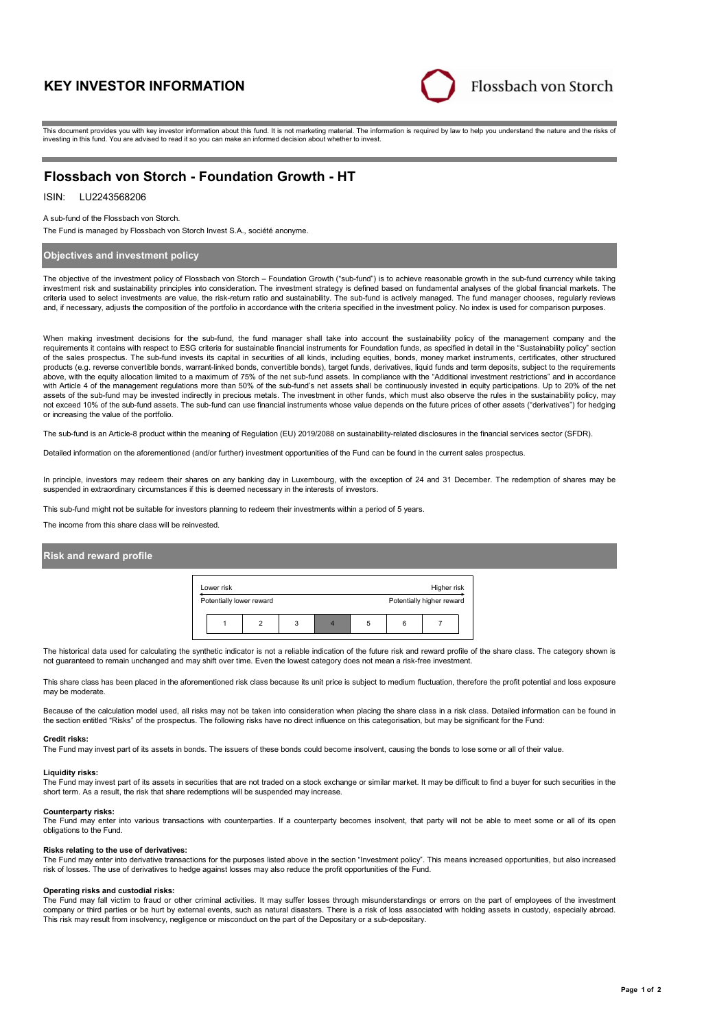# **KEY INVESTOR INFORMATION**



This document provides you with key investor information about this fund. It is not marketing material. The information is required by law to help you understand the nature and the risks of investing in this fund. You are advised to read it so you can make an informed decision about whether to invest.

# **Flossbach von Storch - Foundation Growth - HT**

## ISIN: LU2243568206

#### A sub-fund of the Flossbach von Storch.

The Fund is managed by Flossbach von Storch Invest S.A., société anonyme.

### **Objectives and investment policy**

The objective of the investment policy of Flossbach von Storch – Foundation Growth ("sub-fund") is to achieve reasonable growth in the sub-fund currency while taking investment risk and sustainability principles into consideration. The investment strategy is defined based on fundamental analyses of the global financial markets. The criteria used to select investments are value, the risk-return ratio and sustainability. The sub-fund is actively managed. The fund manager chooses, regularly reviews and, if necessary, adjusts the composition of the portfolio in accordance with the criteria specified in the investment policy. No index is used for comparison purposes.

When making investment decisions for the sub-fund, the fund manager shall take into account the sustainability policy of the management company and the requirements it contains with respect to ESG criteria for sustainable financial instruments for Foundation funds, as specified in detail in the "Sustainability policy" section of the sales prospectus. The sub-fund invests its capital in securities of all kinds, including equities, bonds, money market instruments, certificates, other structured products (e.g. reverse convertible bonds, warrant-linked bonds, convertible bonds), target funds, derivatives, liquid funds and term deposits, subject to the requirements above, with the equity allocation limited to a maximum of 75% of the net sub-fund assets. In compliance with the "Additional investment restrictions" and in accordance with Article 4 of the management regulations more than 50% of the sub-fund's net assets shall be continuously invested in equity participations. Up to 20% of the net assets of the sub-fund may be invested indirectly in precious metals. The investment in other funds, which must also observe the rules in the sustainability policy, may not exceed 10% of the sub-fund assets. The sub-fund can use financial instruments whose value depends on the future prices of other assets ("derivatives") for hedging or increasing the value of the portfolio.

The sub-fund is an Article-8 product within the meaning of Regulation (EU) 2019/2088 on sustainability-related disclosures in the financial services sector (SFDR).

Detailed information on the aforementioned (and/or further) investment opportunities of the Fund can be found in the current sales prospectus.

In principle, investors may redeem their shares on any banking day in Luxembourg, with the exception of 24 and 31 December. The redemption of shares may be suspended in extraordinary circumstances if this is deemed necessary in the interests of investors.

This sub-fund might not be suitable for investors planning to redeem their investments within a period of 5 years.

The income from this share class will be reinvested.

### **Risk and reward profile**



The historical data used for calculating the synthetic indicator is not a reliable indication of the future risk and reward profile of the share class. The category shown is not guaranteed to remain unchanged and may shift over time. Even the lowest category does not mean a risk-free investment.

This share class has been placed in the aforementioned risk class because its unit price is subject to medium fluctuation, therefore the profit potential and loss exposure may be moderate.

Because of the calculation model used, all risks may not be taken into consideration when placing the share class in a risk class. Detailed information can be found in the section entitled "Risks" of the prospectus. The following risks have no direct influence on this categorisation, but may be significant for the Fund:

#### **Credit risks:**

The Fund may invest part of its assets in bonds. The issuers of these bonds could become insolvent, causing the bonds to lose some or all of their value.

#### **Liquidity risks:**

The Fund may invest part of its assets in securities that are not traded on a stock exchange or similar market. It may be difficult to find a buyer for such securities in the short term. As a result, the risk that share redemptions will be suspended may increase.

#### **Counterparty risks:**

The Fund may enter into various transactions with counterparties. If a counterparty becomes insolvent, that party will not be able to meet some or all of its open obligations to the Fund.

#### **Risks relating to the use of derivatives:**

The Fund may enter into derivative transactions for the purposes listed above in the section "Investment policy". This means increased opportunities, but also increased risk of losses. The use of derivatives to hedge against losses may also reduce the profit opportunities of the Fund.

#### **Operating risks and custodial risks:**

The Fund may fall victim to fraud or other criminal activities. It may suffer losses through misunderstandings or errors on the part of employees of the investment company or third parties or be hurt by external events, such as natural disasters. There is a risk of loss associated with holding assets in custody, especially abroad. This risk may result from insolvency, negligence or misconduct on the part of the Depositary or a sub-depositary.